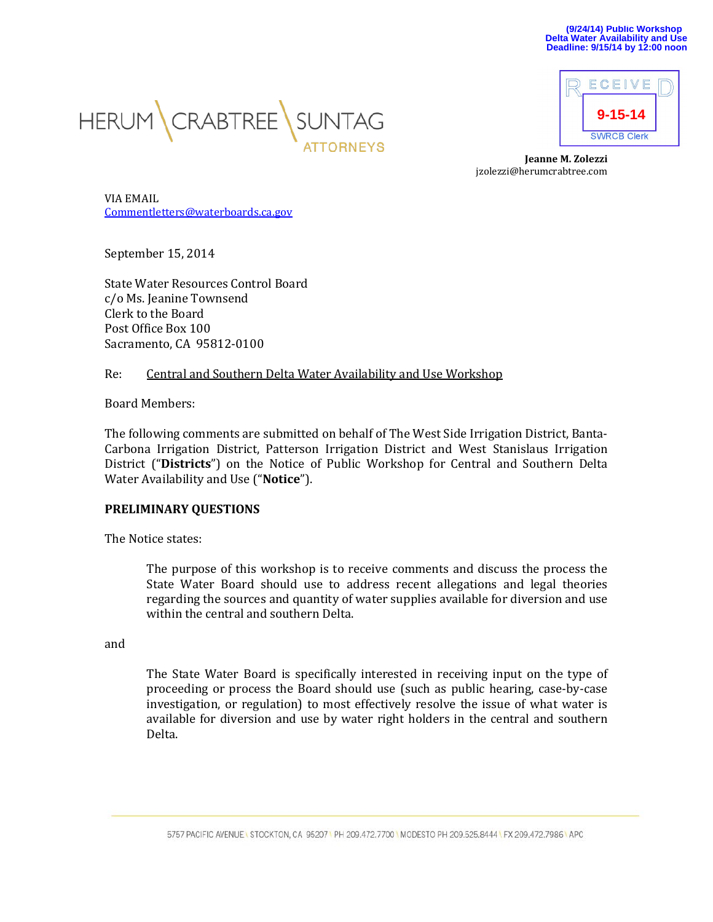



**Jeanne M. Zolezzi** jzolezzi@herumcrabtree.com

VIA EMAIL [Commentletters@waterboards.ca.gov](mailto:Commentletters@waterboards.ca.gov)

September 15, 2014

State Water Resources Control Board c/o Ms. Jeanine Townsend Clerk to the Board Post Office Box 100 Sacramento, CA 95812-0100

## Re: Central and Southern Delta Water Availability and Use Workshop

Board Members:

The following comments are submitted on behalf of The West Side Irrigation District, Banta-Carbona Irrigation District, Patterson Irrigation District and West Stanislaus Irrigation District ("**Districts**") on the Notice of Public Workshop for Central and Southern Delta Water Availability and Use ("**Notice**").

## **PRELIMINARY QUESTIONS**

The Notice states:

The purpose of this workshop is to receive comments and discuss the process the State Water Board should use to address recent allegations and legal theories regarding the sources and quantity of water supplies available for diversion and use within the central and southern Delta.

and

The State Water Board is specifically interested in receiving input on the type of proceeding or process the Board should use (such as public hearing, case-by-case investigation, or regulation) to most effectively resolve the issue of what water is available for diversion and use by water right holders in the central and southern Delta.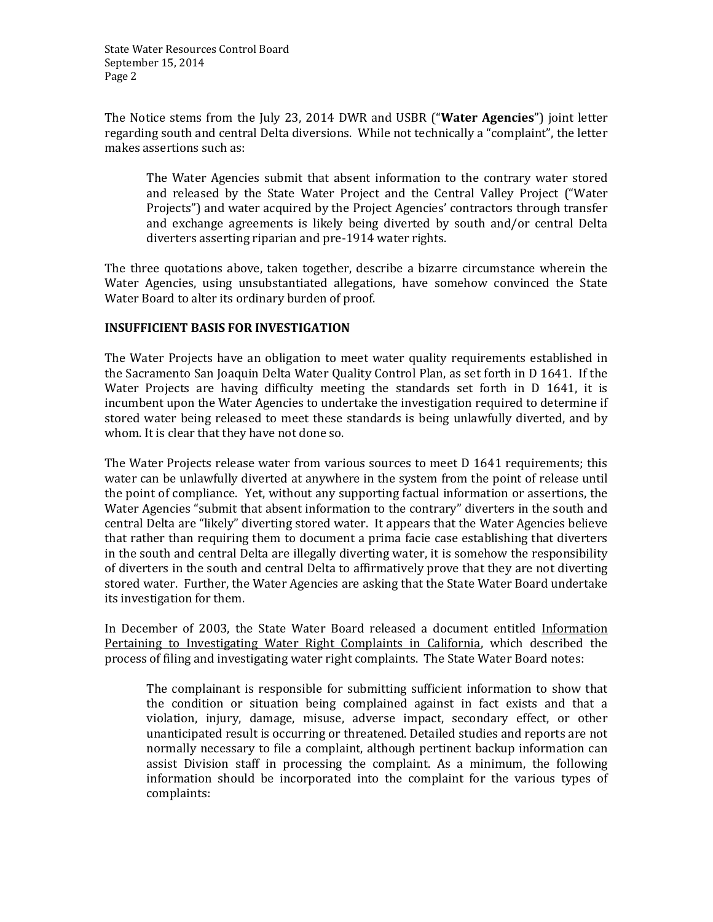The Notice stems from the July 23, 2014 DWR and USBR ("**Water Agencies**") joint letter regarding south and central Delta diversions. While not technically a "complaint", the letter makes assertions such as:

The Water Agencies submit that absent information to the contrary water stored and released by the State Water Project and the Central Valley Project ("Water Projects") and water acquired by the Project Agencies' contractors through transfer and exchange agreements is likely being diverted by south and/or central Delta diverters asserting riparian and pre-1914 water rights.

The three quotations above, taken together, describe a bizarre circumstance wherein the Water Agencies, using unsubstantiated allegations, have somehow convinced the State Water Board to alter its ordinary burden of proof.

## **INSUFFICIENT BASIS FOR INVESTIGATION**

The Water Projects have an obligation to meet water quality requirements established in the Sacramento San Joaquin Delta Water Quality Control Plan, as set forth in D 1641. If the Water Projects are having difficulty meeting the standards set forth in D 1641, it is incumbent upon the Water Agencies to undertake the investigation required to determine if stored water being released to meet these standards is being unlawfully diverted, and by whom. It is clear that they have not done so.

The Water Projects release water from various sources to meet D 1641 requirements; this water can be unlawfully diverted at anywhere in the system from the point of release until the point of compliance. Yet, without any supporting factual information or assertions, the Water Agencies "submit that absent information to the contrary" diverters in the south and central Delta are "likely" diverting stored water. It appears that the Water Agencies believe that rather than requiring them to document a prima facie case establishing that diverters in the south and central Delta are illegally diverting water, it is somehow the responsibility of diverters in the south and central Delta to affirmatively prove that they are not diverting stored water. Further, the Water Agencies are asking that the State Water Board undertake its investigation for them.

In December of 2003, the State Water Board released a document entitled Information Pertaining to Investigating Water Right Complaints in California, which described the process of filing and investigating water right complaints. The State Water Board notes:

The complainant is responsible for submitting sufficient information to show that the condition or situation being complained against in fact exists and that a violation, injury, damage, misuse, adverse impact, secondary effect, or other unanticipated result is occurring or threatened. Detailed studies and reports are not normally necessary to file a complaint, although pertinent backup information can assist Division staff in processing the complaint. As a minimum, the following information should be incorporated into the complaint for the various types of complaints: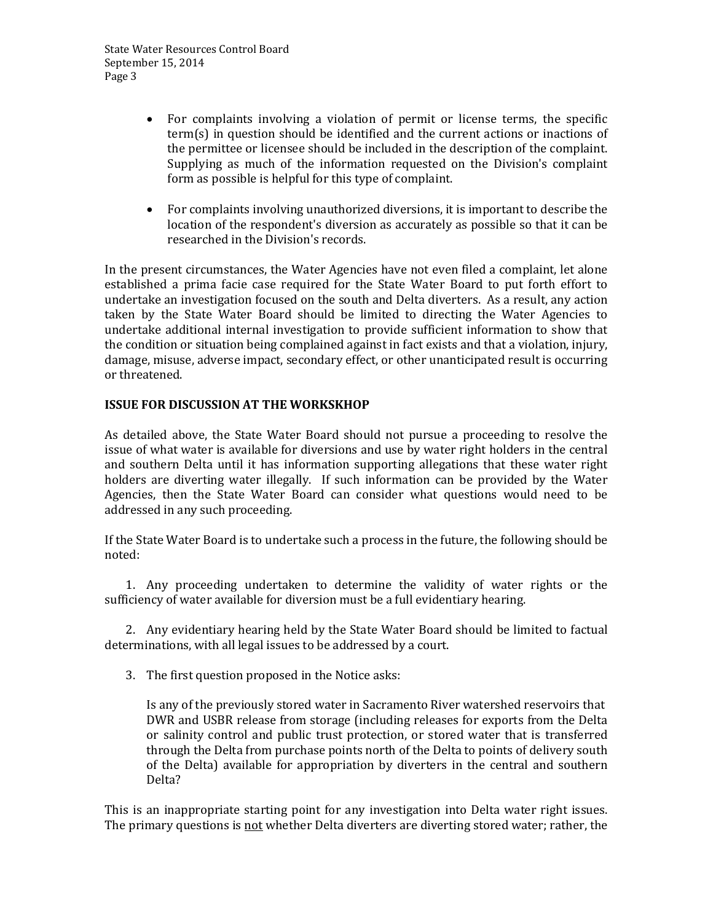- For complaints involving a violation of permit or license terms, the specific term(s) in question should be identified and the current actions or inactions of the permittee or licensee should be included in the description of the complaint. Supplying as much of the information requested on the Division's complaint form as possible is helpful for this type of complaint.
- For complaints involving unauthorized diversions, it is important to describe the location of the respondent's diversion as accurately as possible so that it can be researched in the Division's records.

In the present circumstances, the Water Agencies have not even filed a complaint, let alone established a prima facie case required for the State Water Board to put forth effort to undertake an investigation focused on the south and Delta diverters. As a result, any action taken by the State Water Board should be limited to directing the Water Agencies to undertake additional internal investigation to provide sufficient information to show that the condition or situation being complained against in fact exists and that a violation, injury, damage, misuse, adverse impact, secondary effect, or other unanticipated result is occurring or threatened.

## **ISSUE FOR DISCUSSION AT THE WORKSKHOP**

As detailed above, the State Water Board should not pursue a proceeding to resolve the issue of what water is available for diversions and use by water right holders in the central and southern Delta until it has information supporting allegations that these water right holders are diverting water illegally. If such information can be provided by the Water Agencies, then the State Water Board can consider what questions would need to be addressed in any such proceeding.

If the State Water Board is to undertake such a process in the future, the following should be noted:

1. Any proceeding undertaken to determine the validity of water rights or the sufficiency of water available for diversion must be a full evidentiary hearing.

2. Any evidentiary hearing held by the State Water Board should be limited to factual determinations, with all legal issues to be addressed by a court.

3. The first question proposed in the Notice asks:

Is any of the previously stored water in Sacramento River watershed reservoirs that DWR and USBR release from storage (including releases for exports from the Delta or salinity control and public trust protection, or stored water that is transferred through the Delta from purchase points north of the Delta to points of delivery south of the Delta) available for appropriation by diverters in the central and southern Delta?

This is an inappropriate starting point for any investigation into Delta water right issues. The primary questions is not whether Delta diverters are diverting stored water; rather, the